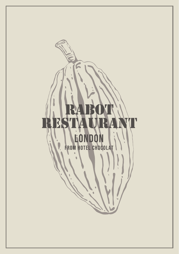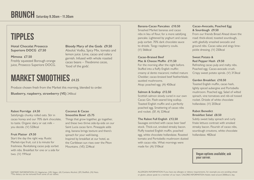# TIPPLES

**Hotel Chocolat Prosecco Superiore DOCG £7.50**

**Mimosa £7.50** Freshly squeezed Borough orange juice, Prosecco Superiore DOCG. **Bloody Mary of the Gods £9.50** Absolut Vodka, Spicy Mix, tomato and lemon juice. Lime, cacao and celery garnish. Infused with whole roasted cacao beans – *Theobroma cacao*, 'food of the gods'.

# **MARKET SMOOTHIES**

Produce chosen fresh from the Market this morning, blended to order.

**Blueberry, raspberry, strawberry (VE)** 240kcal

#### **Rabot Porridge £4.50**

Satisfyingly chunky rolled oats. Stir in cacao honey and our 70% dark chocolate, to taste. Organic dairy or oat milk – you decide. (V) 520kcal

#### **Fruit Platter £9.50**

Start the day the right way. Rustic Market-ripe fruit, cut à la minute for freshness. Revitalising cacao pulp sorbet with nibs. Breakfast for one or a side for two. (V) 191kcal

#### **Coconut & Cacao Smoothie Bowl £5.75**

Things that grow together, go together, and these two thrive side-by-side on our Saint Lucia cacao farm. Pineapple adds zing, banana brings texture and there's spinach for your well-being. Inspired by breakfast at our hotel, as the Caribbean sun rises over the Piton Mountains. (VE) 224kcal

#### **Banana-Cacao Pancakes £10.50**

Smashed Market bananas and cacao nibs in lieu of flour, for a more satisfying pancake. Lightened by yoghurt and cacao pulp sorbet. 70% dark chocolate sauce to drizzle. Tangy raspberry coulis. (V) 566kcal

#### **Cacao-Braised Beef Mac & Cheese Muffin £11.50**

For the morning after the night before. Stuffed into a fluffy English muffin: creamy al dente macaroni; melted mature Cheddar; cacao-braised beef featherblade; sautéed mushrooms. Atop: poached egg. (A) 450kcal

#### **Salmon & Scallop £12.50**

Scottish salmon slowly cured in our own Cacao Gin. Flash-seared king scallop. Toasted English muffin and a perfectly poached egg. Smattering of cacao nibs and rocket. (SF, A) 324kcal

#### **The Rabot Full English £12.50**

Sausages enriched with cacao beer beef stock. Thick-cut, smoked streaky bacon. Fluffy toasted English muffin, poached egg, white chocolate hollandaise. Roasted tomato and Portobello mushroom dusted with cacao nibs. What mornings were made for. (A) 510kcal

#### **Cacao-Avocado, Poached Egg & Sourdough £9.50**

From our friends Bread Ahead down the road: thick-sliced, toasted sourdough, with gleefully smashed avocado and ground nibs. Cacao salsa and zingy limepickle dressing. (V) 250kcal

#### **Sweet Potato & Red Pepper Hash £9.50**

Refreshing cacao pulp and malty nibs. Poached egg. Cacao-avocado crush. Crispy sweet potato spirals. (V) 313kcal

#### **Garden Breakfast £10.50**

Toasted English muffin, cacao hash, lightly spiced aubergine and Portobello mushroom. Poached egg. Salad of wilted spinach, vine tomatoes and nib-oil tossed rocket. Drizzle of white chocolate hollandaise. (V) 203kcal

#### **Rabot Benedict Breakfast Salad £8.50**

Subtly sweet baby spinach and curly frisée lettuce contrast with smoked streaky bacon. Flourish of cacao nibs, sourdough croutons, white chocolate hollandaise. 482kcal

**Vegan options available; ask your server.**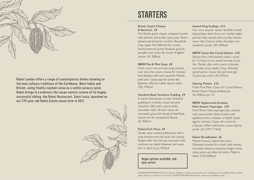

Rabot London offers a range of contemporary dishes drawing on the best culinary traditions of the Caribbean, West Indies and Britain, using freshly roasted cacao as a subtle savoury spice. Rabot brings to Londoners the cacao-centric cuisine of its hugely successful sibling, the Rabot Restaurant, Saint Lucia, launched on our 275-year-old Rabot Estate cacao farm in 2011.



## **STARTERS**

#### **British Goat's Cheese & Beetroot £9**

Tart British goat's cheese, whipped smooth with delicate, lychee-like cacao pulp. Parkinspiced soda bread for comfort. Beautifully crisp, paper-fine flatbread for crunch. Earthy beetroot purée. Roasted, ground pumpkin and cacao nib crumb. A lighter starter. (V) 200kcal

#### **NEW Pea & Mint Soup £8**

Fresh, warm mint and pea soup, poured over dairy-free cream cheese for richness that deepens with each spoonful. Market petit pois. Cacao pulp for lychee-like lightness. Nibs for subtle savoury spice. (VE) 192kcal

#### **Hereford Beef Yorkshire Pudding £9**

A starter that boasts a roast. Yorkshire pudding on a velvety cacao-red wine reduction, filled with creamy white chocolate mash. 24-hour cacao nib marinated, grass-fed Hereford beef flank, seared rare for exceptional flavour. (A) 402kcal

#### **Pulled Pork Piton £9**

Tender, slow-cooked pulled pork with a crisp breadcrumb and cacao nib coating. Shaped after the two sea mountains that overlook our island hideaway and cacao farm in Saint Lucia. 471kcal.

**Vegan options available; ask your server.**

#### **Seared King Scallops £13**

Our most popular starter. Scottish coastal king scallops direct from our market angler partner, flash seared with crunchy, intense cacao nibs. Creamy white chocolate and sweetcorn purée. (SF) 407kcal

#### **NEW Cacao Gin Cured Salmon £10**

Salmon from chill Scottish waters, cured for 12 hours in our award-winning Cacao Gin. Tender, silky, with a burst of juniper and malty cacao depth. Crisp, delicately spiced parkin. Cacao Gin and tonic gel. Cacao pulp cream. (A) 327kcal

#### **Sharing Platter £22**

Pulled Pork Piton, Cacao Gin Cured Salmon, British Goat's Cheese & Beetroot. (A) 499kcal per 1/2

#### **NEW Applewood-Smoked, New-Season Asparagus £10**

Fresh British baby asparagus tips, sautéed with cacao butter, flash-smoked with applewood for a whisper of depth. Quail egg for richness. Cacao nib crumb for crispness. Wild mushrooms, cacao-celeriac purée. (A) (VE\*) 111kcal

#### **Rabot Breadbasket £6**

Market focaccia, baked next door. Delicately toasted for crunch, with velvety chocolate balsamic reduction, bright, herby cacao pesto and silky nib butter. Made to share. (V,N) 506kcal

ALLERGEN INFORMATION If you have any allergies or dietary requirements, for example you are avoiding wheat or gluten, please speak to a member of our team. CALORIE INFORMATION Adults need around 2000kcal a day.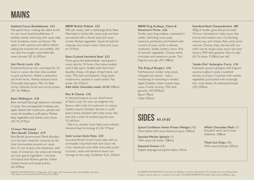#### **Seafood Cacao Bouillabaisse £22**

We spend hours making the silken broth for our much-loved bouillabaisse. It bubbles slowly, brimming with cacao nibs, fresh tomatoes, herbs and fennel. We spike it with cayenne and saffron before adding the freshest fish and shellfish. We use only line-caught, sustainable fish, never farmed. (SF, A) 397kcal

#### **Salt Marsh Lamb £26**

Purebred Romney loin, marinated for 24 hours in cacao nibs then slow-cooked to pink perfection. Rolled in pistachios and fresh herbs. Velvety reduced stock. Chocolate demi-glace. Mint oil. Baby turnip. Delicate turnip and carrot purées. (A\*, N) 408kcal

#### **Beet Wellington £18**

Beet not beef. Borough beetroot marinated in cacao nibs, pomegranate molasses and apple. Baked with mushroom, spinach and cacao nib duxelles in puff pastry. Market baby vegetables and cashew sour cream. (VE, N) 317kcal

#### **12-hour Marinated 'Bois Bandé' Chicken £19**

Bois Bandé (pronounced 'Bwah Bonday') rum has been loved for centuries by the local communities around our cacao farm. A riot of spice and sweetness, with notes of cinnamon, star anise and nutmeg and one special ingredient – the bark of tropical tree *Richeria grandis.* Unites chicken breast and sweet potato. (A) 679kcal

#### **NEW British Pollock £22**

Mild yet meaty, with a satisfyingly thick flake. Marinated in lychee-like cacao pulp and then pan-seared with a fennel seed and cacao crumb. Market vegetables. Squid ink tuile for crispness and umami notes. Herb and cacao oil. 417kcal

#### **Slow-Cooked Hereford Beef £23**

Prime grass-fed featherblade, marinated in cacao nibs for 24 hours, then slow-cooked until it falls apart. Stuffed with fresh herb duxelles. Deep, rich glaze of beef stock, red wine, 70% dark and balsamic. King oyster mushrooms, sautéed in cacao butter. Pea purée. (A) 423kcal **Add white chocolate mash: £4.50** 248kcal

#### **Mac & Cheese £16**

A national treasure on our island home of Saint Lucia. For ours we heighten the flavour with a hint of mushroom in creamy, melted mature Cheddar. Served in a puff pastry bowl, kneaded with nutty cacao nibs, and with a whirl of smoked paprika slaw. (V) 661kcal

- Take it to another level. Add cacao-infused Hereford beef trimmings £5 (A) 171kcal

#### **Saint Lucian-Style Hake £20**

Succulent British South Coast hake with an unmissably crisp fresh-herb and cacao nib crust. Sweetcorn and white chocolate purée. Coconut, cacao and tamarind sauce: our homage to the zingy Caribbean fruit. 235kcal

#### **NEW King Scallops, Clams & Sweetcorn Purée £26**

Tender, juicy king scallops, marinated in subtle, refreshing cacao pulp, seared to perfection and finished with a touch of cacao oil for a delicate smokiness. Subtle, buttery clams. Riot of summer vegetables. Creamy white chocolate and sweetcorn purée. Tart, fragrant yuzu gel. (SF) 348kcal

#### **The King of Burgers £16**

Full-flavoured, tender rump steak, chopped and seared – only a smattering of seasoning is needed. Aged Cheddar, triple-cooked chips, cacao Creole chutney, 70% dark ganache. (A\*) 843kcal Bacon 79kcal Chips 425kcal

#### **Hereford Beef Chateaubriand £80**

450g of tender, grass-fed prime beef: 24-hour marinated in malty cacao nibs and served medium-rare. Comforting, creamy mac and cheese. Rich, nutty bone marrow. Chunky chips. Served with our chef's secret recipe cacao sauce and nearsavoury 90% dark ganache. Dare to dip? (A) To share: 1128kcal per half.

#### **'Inside-Out' Aubergine Curry £16**

Delicately spiced aubergine with fragrant coconut yoghurt inside a sundried tomato concasse. Crowned with market vegetables punctuated with amazingly thin, crisp sheets of unleavened bread. (VE) 205kcal

## **SIDES AII** £4.85

**Spiced Caribbean Sweet Potato Wedges** (VE) Oven-baked with cacao barbecue sauce. 420kcal

**Sautéed Market Spinach** (V) With cacao nih butter. 208kcal

**Seasonal Greens** (VE) English asapragus and green beans. 61kcal **White Chocolate Mash** (V) Shouldn't work, but it does. Addictive. 248kcal

**Thick-Cut Chips** (VE) With cacao ketchup. 425kcal

DIETARY INFORMATION (V) Vegetarian, (VE) Vegan, (A) Contains Alcohol, (SF) Shellfish, (N) Nuts. \*This dietary can be removed from some of our dishes.

ALLERGEN INFORMATION If you have any allergies or dietary requirements, for example you are avoiding wheat or gluten, please speak to a member of our team. CALORIE INFORMATION Adults need around 2000kcal a day.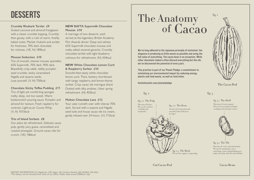## DESSERTS

#### **Crumbly Rhubarb Tartlet £9**

Grated coconut and almond frangipane with a classic crumble topping. Crumbly then gooey, with a rush of warm, freshly baked notes. Market rhubarb and sorbet for freshness. 70% dark chocolate for richness. (VE, N) 189kcal

#### **Mousse Seduction £10**

Trio of smooth, intense mousse quenelles: 65% Supermilk, 70% dark, 90% dark. Beautifully crisp sablé, nibbly pumpkin seed crumble, sticky caramelised Nigella and sesame seeds. Lose yourself. (V, N) 750kcal

**Chocolate Sticky Toffee Pudding £11** Trio of light yet comforting sponges: malty, deep, not too sweet. Warm butterscotch pouring sauce. Pumpkin and almond for texture. Fresh raspberry for contrast. Light-as-air Cocoa Whip. (V, A) 1015kcal

#### **Trio of Island Sorbets £8**

Our pièce de refreshment. Delicate cacao pulp, gently juicy guava, caramelised and roasted pineapple. Ground cacao nibs for crunch. (VE) 186kcal

#### **NEW BAFTA Supermilk Chocolate Mousse £10**

A marriage of two desserts, each served at the legendary British Academy Film Awards dinner. Deep and velvety 65% Supermilk chocolate mousse and malty salted caramel ganache. Crumbly chocolate tartlet with light blueberry crémeux for refreshment. (N) 434kcal

#### **NEW White Chocolate Lemon Curd & Raspberry Sorbet £10**

Smooth-then-zesty white chocolate lemon curd. Thick, buttery shortbread with tangy raspberry and lemon-thyme sorbet. Crisp cacao nib meringue shard. Dotted with silky pralines. Utter spring refreshment. (N) 403kcal

#### **Molten Chocolate Lava £12**

Your cake runneth over with intense 70% dark. Served with a sesame and Nigella seed tuile and house cacao nib ice cream, gently infused over 24 hours. (V) 712kcal

# The Anatomy of Cacao

We've long adhered to the Japanese principle of mottainai: the elegance in producing as little waste as possible and using the full value of everything. The cacao bean is no exception. While other chocolate-makers often discard everything but the nib, we've discovered the potential of every part.

This practice is part of our Planet Pledge: a commitment to minimising our environmental impact by reducing energy, plastic and food waste, as well as food miles.

hotelchocolat.com/planetpledge



fig. 2.1 The Pulp Flavours of lychee. We use for: sorbets. cocktails and marinades.

fig. 2.2 The Bean Needs to be fermented and sun dried, then delicious. See fig 3.



**The Cacao Pod**

#### fig.  $3$

fig. 3.1 The Shell Flavours of: toast, umami. We use for: tea infusion drinks cooking stock and spice mixes.



fig. 3.2 The Nib

Flavours of: cacao, oak and tannins We use for: marinades, sauce enriching, crusts, and grinding up to make chocolate and chocolate drinks.

**Cut Caca0 Pod**

**Caca0 Bean**

fig. 2.3 The Husk We use for: organic composting.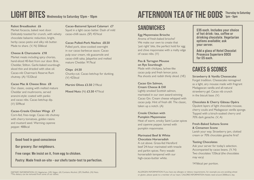## LIGHT BITES Wednesday to Saturday 12pm - 10pm

#### **Rabot Breadbasket £6**

Market focaccia, baked next door. Delicately toasted for crunch, with velvety chocolate balsamic reduction, bright, herby cacao pesto and silky nib butter. Made to share. (V, N) 506kcal

#### **Cheese & Charcuterie £18**

Market meats including spicy chorizo, hand-sliced 40-feet from our door. Brie, Cheddar, Stilton. Garlic-baked sourdough sliced thin and drizzled with olive oil. Cacao-nib Chairman's Reserve Rum chutney. (A) 1532kcal

**Cacao Mac & Cheese Bites £8** Our classic, oozing with melted mature Cheddar and mushrooms, served arancini-style: coated with panko and cacao nibs. Cacao ketchup dip.

(V) 509kcal

**Cacao-Creole Chicken Wings £7** Corn-fed, free-range. Cacao nib chutney with cherry tomatoes, golden raisins and mustard seed. Warming cayenne pepper. 488kcal

#### Good food in good conscience

Our grocery: Our neighbours.

Free range: We insist on it, from egg to chicken.

Pastry: Made fresh on-site – our chefs taste-test to perfection.

#### **Cacao-Battered Spiced Calamari £7** Squid in a light cacao batter. Dash of mild cacao-chilli sauce. (SF) 451kcal

**Cacao Pulled-Pork Nachos £8.50** Pulled pork, slow-cooked overnight in our cacao barbecue sauce. Cacao pulp sour cream, nib guacamole and cacao-chilli salsa. Jalapeños and melted mature Cheddar. 917kcal

**Chips £4.50** Chunky-cut. Cacao ketchup for dunking. (V) 425kcal

**Martini Olives £3.50** 219kcal

**Mixed Nuts** (N) **£3.50** 471kcal

### AFTERNOON TEA OF THE GODS Thursday to Saturday 1pm – 5pm

## **SANDWICHES**

**Egg Mayonnaise Brioche** Aroma of fresh-baked brioche? We make our own to create that 'just right' bite, the perfect hold for egg and chive mayonnaise with a malty edge of cacao nibs. (V)

**Pea & Tarragon Mousse on Rye Sourdough** Made with chickpea, lychee-like cacao pulp and fresh lemon juice. Pea shoots and radish thinly sliced. (VE)

#### **Cacao Gin Salmon, Cream Cheese & Dill**

Lightly smoked Scottish salmon, marinated in our own award-winning Cacao Gin. Cream cheese whipped with cacao pulp. Hint of fresh dill. The classic, taken up a notch. (A)

**Creole Chicken with Pumpkin Mayonnaise**

Heat of warm, smoky Saint Lucian spices and cayenne pepper, tamed with pumpkin mayonnaise.

#### **Marinated Beef & White Chocolate Horseradish**

A cut above. Grass-fed Hereford beef 24-hour marinated with treacle and parkin spices. Fiery wasabi horseradish tempered with our high-cacao-butter white.

£35 each. Includes your choice of hot drink: tea, coffee or drinking chocolate. Vegetarian options available; ask your server.

Add a glass of Hotel Chocolat Prosecco Superiore DOCG for £5 each.

## CAKES & SCONES

#### **Strawberry & Vanilla Cheesecake**

Forget tradition. Cheesecake reimagined as a light, airy mousse made with fragrant Madagascan vanilla and all-natural strawberry gel. Cacao nib crunch in the biscuit base. (V)

#### **Chocolate & Cherry Gâteau Opéra**

Opulent layers of light chocolate mousse, cherry coulis and Madagascan vanilla sponge. Topped with a kirsch-soaked cherry and 70% dark ganache. (V, A)

#### **Fresh-Baked Sultana Scone & Cinnamon Scone**

Lavish your way. Strawberry jam, clotted cream or 70% chocolate ganache first?

#### **Tasting Chocolates**

Ask your server for today's selection. Accompanied by cacao beans. (V, N) Two chocolates 135kcal (the chocolates may vary)

1416kcal per portion.

ALLERGEN INFORMATION If you have any allergies or dietary requirements, for example you are avoiding wheat or gluten, please speak to a member of our team. CALORIE INFORMATION Adults need around 2000kcal a day.